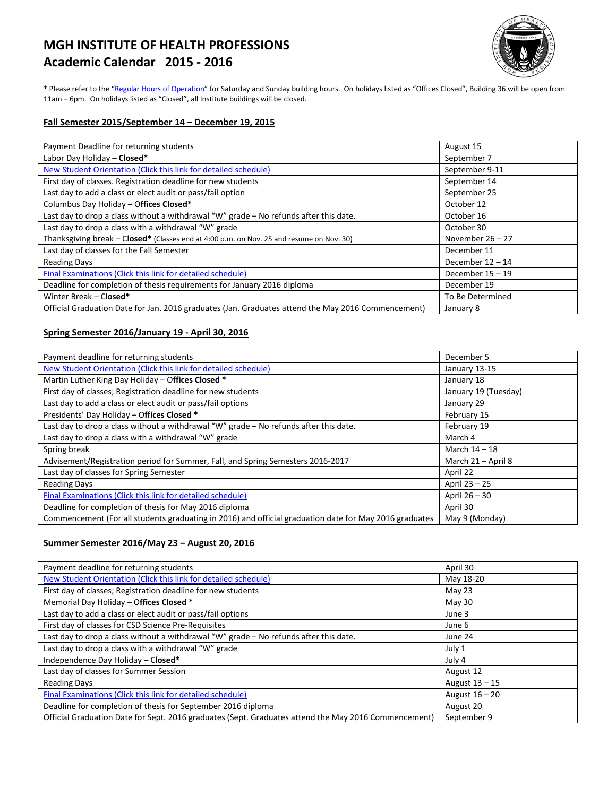# **MGH INSTITUTE OF HEALTH PROFESSIONS Academic Calendar 2015 - 2016**



\* Please refer to the ["Regular Hours of Operation"](http://www.mghihp.edu/about-us/operations/hours.aspx) for Saturday and Sunday building hours. On holidays listed as "Offices Closed", Building 36 will be open from 11am – 6pm. On holidays listed as "Closed", all Institute buildings will be closed.

#### **Fall Semester 2015/September 14 – December 19, 2015**

| Payment Deadline for returning students                                                            | August 15          |
|----------------------------------------------------------------------------------------------------|--------------------|
| Labor Day Holiday - Closed*                                                                        | September 7        |
| New Student Orientation (Click this link for detailed schedule)                                    | September 9-11     |
| First day of classes. Registration deadline for new students                                       | September 14       |
| Last day to add a class or elect audit or pass/fail option                                         | September 25       |
| Columbus Day Holiday - Offices Closed*                                                             | October 12         |
| Last day to drop a class without a withdrawal "W" grade - No refunds after this date.              | October 16         |
| Last day to drop a class with a withdrawal "W" grade                                               | October 30         |
| Thanksgiving break - Closed* (Classes end at 4:00 p.m. on Nov. 25 and resume on Nov. 30)           | November $26 - 27$ |
| Last day of classes for the Fall Semester                                                          | December 11        |
| <b>Reading Days</b>                                                                                | December $12 - 14$ |
| Final Examinations (Click this link for detailed schedule)                                         | December $15 - 19$ |
| Deadline for completion of thesis requirements for January 2016 diploma                            | December 19        |
| Winter Break - Closed*                                                                             | To Be Determined   |
| Official Graduation Date for Jan. 2016 graduates (Jan. Graduates attend the May 2016 Commencement) | January 8          |

### **Spring Semester 2016/January 19 - April 30, 2016**

| Payment deadline for returning students                                                                | December 5           |
|--------------------------------------------------------------------------------------------------------|----------------------|
| New Student Orientation (Click this link for detailed schedule)                                        | January 13-15        |
| Martin Luther King Day Holiday - Offices Closed *                                                      | January 18           |
| First day of classes; Registration deadline for new students                                           | January 19 (Tuesday) |
| Last day to add a class or elect audit or pass/fail options                                            | January 29           |
| Presidents' Day Holiday - Offices Closed *                                                             | February 15          |
| Last day to drop a class without a withdrawal "W" grade - No refunds after this date.                  | February 19          |
| Last day to drop a class with a withdrawal "W" grade                                                   | March 4              |
| Spring break                                                                                           | March $14 - 18$      |
| Advisement/Registration period for Summer, Fall, and Spring Semesters 2016-2017                        | March 21 - April 8   |
| Last day of classes for Spring Semester                                                                | April 22             |
| <b>Reading Days</b>                                                                                    | April 23 - 25        |
| Final Examinations (Click this link for detailed schedule)                                             | April 26 - 30        |
| Deadline for completion of thesis for May 2016 diploma                                                 | April 30             |
| Commencement (For all students graduating in 2016) and official graduation date for May 2016 graduates | May 9 (Monday)       |

#### **Summer Semester 2016/May 23 – August 20, 2016**

| Payment deadline for returning students                                                              | April 30       |
|------------------------------------------------------------------------------------------------------|----------------|
| New Student Orientation (Click this link for detailed schedule)                                      | May 18-20      |
| First day of classes; Registration deadline for new students                                         | May 23         |
| Memorial Day Holiday - Offices Closed *                                                              | May 30         |
| Last day to add a class or elect audit or pass/fail options                                          | June 3         |
| First day of classes for CSD Science Pre-Requisites                                                  | June 6         |
| Last day to drop a class without a withdrawal "W" grade - No refunds after this date.                | June 24        |
| Last day to drop a class with a withdrawal "W" grade                                                 | July 1         |
| Independence Day Holiday - Closed*                                                                   | July 4         |
| Last day of classes for Summer Session                                                               | August 12      |
| <b>Reading Days</b>                                                                                  | August 13 - 15 |
| Final Examinations (Click this link for detailed schedule)                                           | August 16 - 20 |
| Deadline for completion of thesis for September 2016 diploma                                         | August 20      |
| Official Graduation Date for Sept. 2016 graduates (Sept. Graduates attend the May 2016 Commencement) | September 9    |